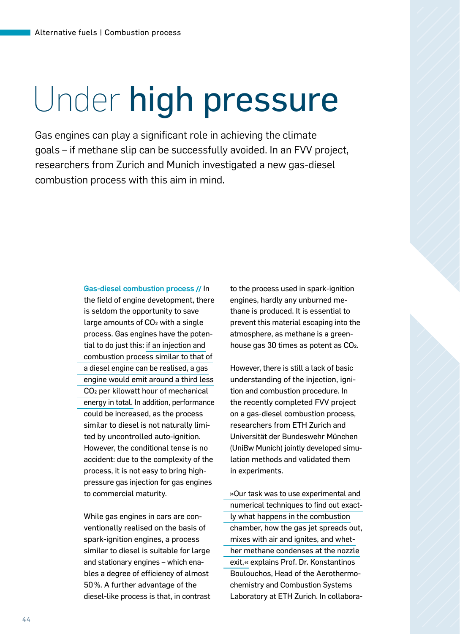## Under high pressure

Gas engines can play a significant role in achieving the climate goals – if methane slip can be successfully avoided. In an FVV project, researchers from Zurich and Munich investigated a new gas-diesel combustion process with this aim in mind.

> Gas-diesel combustion process**||** In the field of engine development, there is seldom the opportunity to save large amounts of CO<sub>2</sub> with a single process. Gas engines have the potential to do just this: if an injection and combustion process similar to that of a diesel engine can be realised, a gas engine would emit around a third less CO2 per kilowatt hour of mechanical energy in total. In addition, performance could be increased, as the process similar to diesel is not naturally limited by uncontrolled auto-ignition. However, the conditional tense is no accident: due to the complexity of the process, it is not easy to bring highpressure gas injection for gas engines to commercial maturity.

While gas engines in cars are conventionally realised on the basis of spark-ignition engines, a process similar to diesel is suitable for large and stationary engines – which enables a degree of efficiency of almost 50%. A further advantage of the diesel-like process is that, in contrast to the process used in spark-ignition engines, hardly any unburned methane is produced. It is essential to prevent this material escaping into the atmosphere, as methane is a greenhouse gas 30 times as potent as CO2.

However, there is still a lack of basic understanding of the injection, ignition and combustion procedure. In the recently completed FVV project on a gas-diesel combustion process, researchers from ETH Zurich and Universität der Bundeswehr München (UniBw Munich) jointly developed simulation methods and validated them in experiments.

»Our task was to use experimental and numerical techniques to find out exactly what happens in the combustion chamber, how the gas jet spreads out, mixes with air and ignites, and whether methane condenses at the nozzle exit,« explains Prof. Dr. Konstantinos Boulouchos, Head of the Aerothermochemistry and Combustion Systems Laboratory at ETH Zurich. In collabora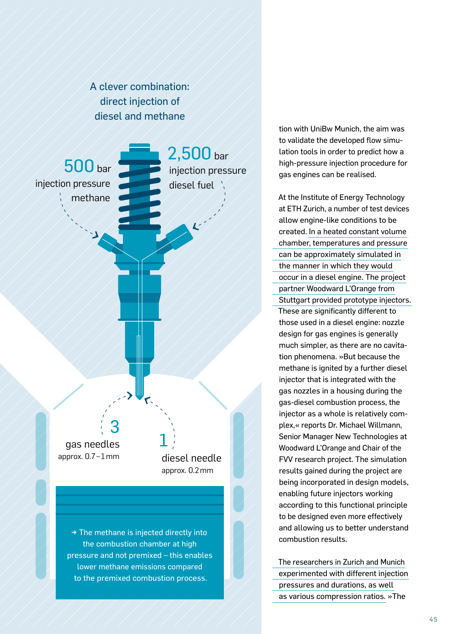A clever combination: direct injection of diesel and methane



the combustion chamber at high pressure and not premixed – this enables lower methane emissions compared to the premixed combustion process.

tion with UniBw Munich, the aim was to validate the developed flow simulation tools in order to predict how a high-pressure injection procedure for gas engines can be realised.

At the Institute of Energy Technology at ETH Zurich, a number of test devices allow engine-like conditions to be created. In a heated constant volume chamber, temperatures and pressure can be approximately simulated in the manner in which they would occur in a diesel engine. The project partner Woodward L'Orange from Stuttgart provided prototype injectors. These are significantly different to those used in a diesel engine: nozzle design for gas engines is generally much simpler, as there are no cavitation phenomena. »But because the methane is ignited by a further diesel injector that is integrated with the gas nozzles in a housing during the gas-diesel combustion process, the injector as a whole is relatively complex,« reports Dr. Michael Willmann, Senior Manager New Technologies at Woodward L'Orange and Chair of the FVV research project. The simulation results gained during the project are being incorporated in design models, enabling future injectors working according to this functional principle to be designed even more effectively and allowing us to better understand combustion results.

The researchers in Zurich and Munich experimented with different injection pressures and durations, as well as various compression ratios. »The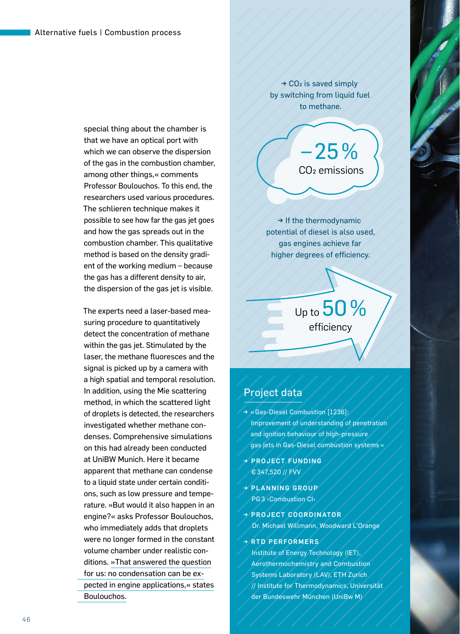special thing about the chamber is that we have an optical port with which we can observe the dispersion of the gas in the combustion chamber, among other things,« comments Professor Boulouchos. To this end, the researchers used various procedures. The schlieren technique makes it possible to see how far the gas jet goes and how the gas spreads out in the combustion chamber. This qualitative method is based on the density gradient of the working medium – because the gas has a different density to air, the dispersion of the gas jet is visible.

The experts need a laser-based measuring procedure to quantitatively detect the concentration of methane within the gas jet. Stimulated by the laser, the methane fluoresces and the signal is picked up by a camera with a high spatial and temporal resolution. In addition, using the Mie scattering method, in which the scattered light of droplets is detected, the researchers investigated whether methane condenses. Comprehensive simulations on this had already been conducted at UniBW Munich. Here it became apparent that methane can condense to a liquid state under certain conditions, such as low pressure and temperature. »But would it also happen in an engine?« asks Professor Boulouchos, who immediately adds that droplets were no longer formed in the constant volume chamber under realistic conditions. »That answered the question for us: no condensation can be expected in engine applications,« states Boulouchos.

 $\rightarrow$  CO<sub>2</sub> is saved simply by switching from liquid fuel to methane.

> –25% CO2 emissions

→ If the thermodynamic potential of diesel is also used, gas engines achieve far higher degrees of efficiency.

> Up to  $50%$ efficiency

## Project data

- → » Gas-Diesel Combustion [1236]: Improvement of understanding of penetration and ignition behaviour of high-pressure gas jets in Gas-Diesel combustion systems «
- → PROJECT FUNDING € 347,520 // FVV
- PLANNING GROUP PG 3> Combustion CI<
- → PROJECT COORDINATOR Dr. Michael Willmann, Woodward L'Orange

## → RTD PERFORMERS

Institute of Energy Technology (IET), Aerothermochemistry and Combustion Systems Laboratory (LAV), ETH Zurich // Institute for Thermodynamics, Universität der Bundeswehr München (UniBw M)